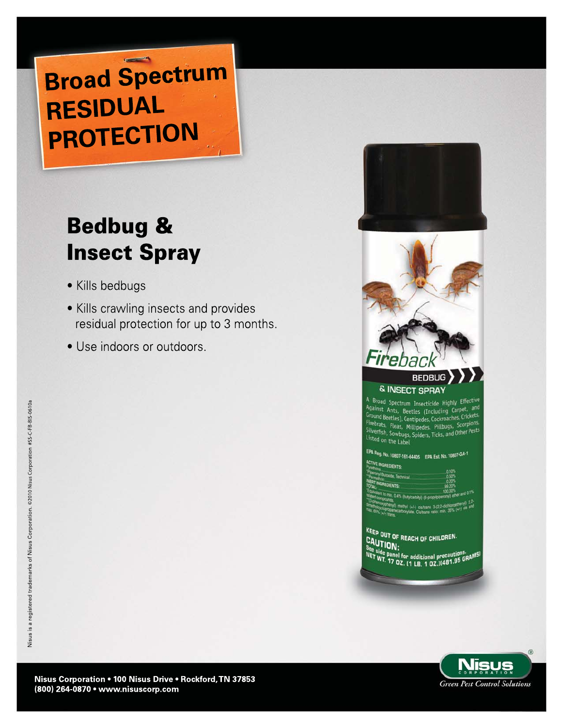# **Broad Spectrum RESIDUAL PROTECTION**

# **Bedbug & Insect Spray**

- Kills bedbugs
- Kills crawling insects and provides residual protection for up to 3 months.
- Use indoors or outdoors.





A Broad Spectrum Insecticide Highly Effective<br>Against Ants, Beetles (Including Carpet, and<br>Ground Beatles (Including Lag Frickets, Ground Beetles), Centipedes, Cockroaches, Crickets, Firebrats, Fleas, Millipedes, Lockroathes, Scorpions,<br>Silverfish, Fleas, Millipedes, Pillbugs, Scorpions,<br>Listed Listed on the Label

| <b>ACTIVE INGREDIENTS:</b><br><b>Controller</b>   | 0.10%             |
|---------------------------------------------------|-------------------|
| perchyl Butcaide, Technical<br><b>A THE THEFT</b> | 0.50%             |
| NERT INGREDIENTS:                                 | 0.20%             |
|                                                   | 00 20%<br>100,00% |

 $(1 + 1)$  cis/trans 3-(2.2-dichiorcement) cis a

KEEP OUT OF REACH OF CHILDREN. CAUTION: side panel for additional precautions.<br>WT, 17 OZ, (1 LB, 1 OZ,)(481.95 GRA!

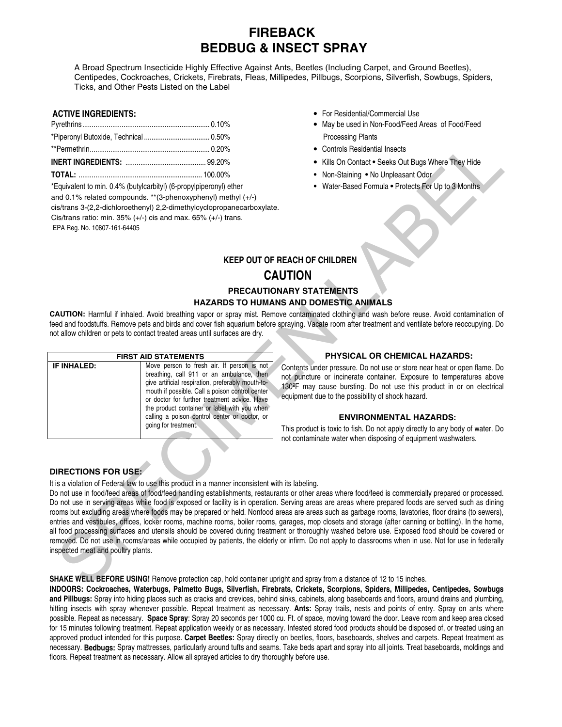## **FIREBACK BEDBUG & INSECT SPRAY**

A Broad Spectrum Insecticide Highly Effective Against Ants, Beetles (Including Carpet, and Ground Beetles), Centipedes, Cockroaches, Crickets, Firebrats, Fleas, Millipedes, Pillbugs, Scorpions, Silverfish, Sowbugs, Spiders, Ticks, and Other Pests Listed on the Label

| TOTAL. | 100000 |
|--------|--------|

\*Equivalent to min. 0.4% (butylcarbityl) (6-propylpiperonyl) ether • Water-Based Formula • Protects For Up to 3 Months and 0.1% related compounds. \*\*(3-phenoxyphenyl) methyl (+/-) cis/trans 3-(2,2-dichloroethenyl) 2,2-dimethylcyclopropanecarboxylate. Cis/trans ratio: min.  $35\%$  (+/-) cis and max.  $65\%$  (+/-) trans. EPA Reg. No. 10807-161-64405

- **ACTIVE INGREDIENTS:** For Residential/Commercial Use
	- **May be used in Non-Food/Feed Areas of Food/Feed** Processing Plants
	- Controls Residential Insects
	- **Kills On Contact Seeks Out Bugs Where They Hide**
	- **TOTAL:** .................................................................. 100.00% Non-Staining No Unpleasant Odor
		-

## **KEEP OUT OF REACH OF CHILDREN CAUTION**

### **PRECAUTIONARY STATEMENTS HAZARDS TO HUMANS AND DOMESTIC ANIMALS**

**CAUTION:** Harmful if inhaled. Avoid breathing vapor or spray mist. Remove contaminated clothing and wash before reuse. Avoid contamination of feed and foodstuffs. Remove pets and birds and cover fish aquarium before spraying. Vacate room after treatment and ventilate before reoccupying. Do not allow children or pets to contact treated areas until surfaces are dry.

| <b>FIRST AID STATEMENTS</b> |                                                                                                                                                                                                                                                                                                                                                                          |  |  |  |  |  |
|-----------------------------|--------------------------------------------------------------------------------------------------------------------------------------------------------------------------------------------------------------------------------------------------------------------------------------------------------------------------------------------------------------------------|--|--|--|--|--|
| <b>IF INHALED:</b>          | Move person to fresh air. If person is not<br>breathing, call 911 or an ambulance, then<br>give artificial respiration, preferably mouth-to-<br>mouth if possible. Call a poison control center<br>or doctor for further treatment advice. Have<br>the product container or label with you when<br>calling a poison control center or doctor, or<br>going for treatment. |  |  |  |  |  |

#### **PHYSICAL OR CHEMICAL HAZARDS:**

Contents under pressure. Do not use or store near heat or open flame. Do not puncture or incinerate container. Exposure to temperatures above 130ºF may cause bursting. Do not use this product in or on electrical equipment due to the possibility of shock hazard.

#### **ENVIRONMENTAL HAZARDS:**

This product is toxic to fish. Do not apply directly to any body of water. Do not contaminate water when disposing of equipment washwaters.

#### **DIRECTIONS FOR USE:**

It is a violation of Federal law to use this product in a manner inconsistent with its labeling.

Provides the control of the specific state of the specific state of the specific state of the specific state of the specific state of the specific state of the specific state of the specific state of the specific state of Do not use in food/feed areas of food/feed handling establishments, restaurants or other areas where food/feed is commercially prepared or processed. Do not use in serving areas while food is exposed or facility is in operation. Serving areas are areas where prepared foods are served such as dining rooms but excluding areas where foods may be prepared or held. Nonfood areas are areas such as garbage rooms, lavatories, floor drains (to sewers), entries and vestibules, offices, locker rooms, machine rooms, boiler rooms, garages, mop closets and storage (after canning or bottling). In the home, all food processing surfaces and utensils should be covered during treatment or thoroughly washed before use. Exposed food should be covered or removed. Do not use in rooms/areas while occupied by patients, the elderly or infirm. Do not apply to classrooms when in use. Not for use in federally inspected meat and poultry plants.

#### **SHAKE WELL BEFORE USING!** Remove protection cap, hold container upright and spray from a distance of 12 to 15 inches.

**INDOORS: Cockroaches, Waterbugs, Palmetto Bugs, Silverfish, Firebrats, Crickets, Scorpions, Spiders, Millipedes, Centipedes, Sowbugs and Pillbugs:** Spray into hiding places such as cracks and crevices, behind sinks, cabinets, along baseboards and floors, around drains and plumbing, hitting insects with spray whenever possible. Repeat treatment as necessary. **Ants:** Spray trails, nests and points of entry. Spray on ants where possible. Repeat as necessary. **Space Spray**: Spray 20 seconds per 1000 cu. Ft. of space, moving toward the door. Leave room and keep area closed for 15 minutes following treatment. Repeat application weekly or as necessary. Infested stored food products should be disposed of, or treated using an approved product intended for this purpose. **Carpet Beetles:** Spray directly on beetles, floors, baseboards, shelves and carpets. Repeat treatment as necessary. **Bedbugs:** Spray mattresses, particularly around tufts and seams. Take beds apart and spray into all joints. Treat baseboards, moldings and floors. Repeat treatment as necessary. Allow all sprayed articles to dry thoroughly before use.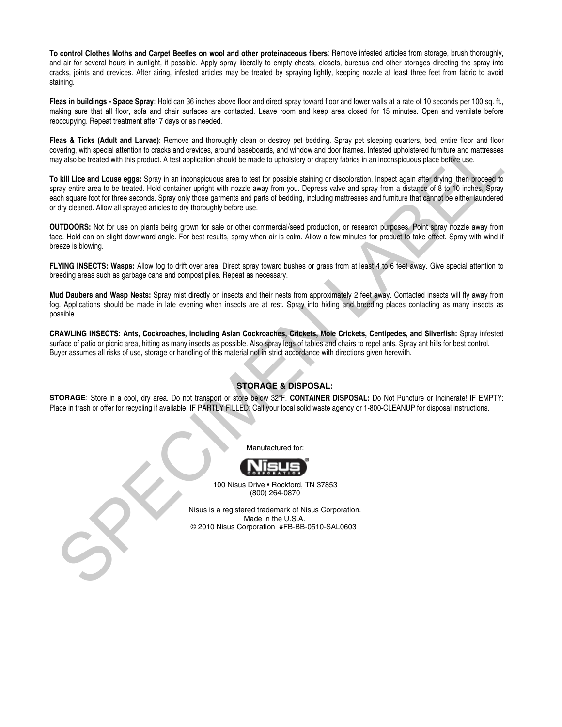**To control Clothes Moths and Carpet Beetles on wool and other proteinaceous fibers**: Remove infested articles from storage, brush thoroughly, and air for several hours in sunlight, if possible. Apply spray liberally to empty chests, closets, bureaus and other storages directing the spray into cracks, joints and crevices. After airing, infested articles may be treated by spraying lightly, keeping nozzle at least three feet from fabric to avoid staining.

**Fleas in buildings - Space Spray**: Hold can 36 inches above floor and direct spray toward floor and lower walls at a rate of 10 seconds per 100 sq. ft., making sure that all floor, sofa and chair surfaces are contacted. Leave room and keep area closed for 15 minutes. Open and ventilate before reoccupying. Repeat treatment after 7 days or as needed.

**Fleas & Ticks (Adult and Larvae)**: Remove and thoroughly clean or destroy pet bedding. Spray pet sleeping quarters, bed, entire floor and floor covering, with special attention to cracks and crevices, around baseboards, and window and door frames. Infested upholstered furniture and mattresses may also be treated with this product. A test application should be made to upholstery or drapery fabrics in an inconspicuous place before use.

We all The Subdivisor the two specifies are all focusity denote a state projection. The Color Subseque State and the Subseque State and the Subseque State and the Subseque State and the Subseque State and the Subseque Stat **To kill Lice and Louse eggs:** Spray in an inconspicuous area to test for possible staining or discoloration. Inspect again after drying, then proceed to spray entire area to be treated. Hold container upright with nozzle away from you. Depress valve and spray from a distance of 8 to 10 inches. Spray each square foot for three seconds. Spray only those garments and parts of bedding, including mattresses and furniture that cannot be either laundered or dry cleaned. Allow all sprayed articles to dry thoroughly before use.

**OUTDOORS:** Not for use on plants being grown for sale or other commercial/seed production, or research purposes. Point spray nozzle away from face. Hold can on slight downward angle. For best results, spray when air is calm. Allow a few minutes for product to take effect. Spray with wind if breeze is blowing.

**FLYING INSECTS: Wasps:** Allow fog to drift over area. Direct spray toward bushes or grass from at least 4 to 6 feet away. Give special attention to breeding areas such as garbage cans and compost piles. Repeat as necessary.

**Mud Daubers and Wasp Nests:** Spray mist directly on insects and their nests from approximately 2 feet away. Contacted insects will fly away from fog. Applications should be made in late evening when insects are at rest. Spray into hiding and breeding places contacting as many insects as possible.

**CRAWLING INSECTS: Ants, Cockroaches, including Asian Cockroaches, Crickets, Mole Crickets, Centipedes, and Silverfish:** Spray infested surface of patio or picnic area, hitting as many insects as possible. Also spray legs of tables and chairs to repel ants. Spray ant hills for best control. Buyer assumes all risks of use, storage or handling of this material not in strict accordance with directions given herewith.

#### **STORAGE & DISPOSAL:**

**STORAGE**: Store in a cool, dry area. Do not transport or store below 32ºF. **CONTAINER DISPOSAL:** Do Not Puncture or Incinerate! IF EMPTY: Place in trash or offer for recycling if available. IF PARTLY FILLED: Call your local solid waste agency or 1-800-CLEANUP for disposal instructions.

Manufactured for:



 100 Nisus Drive • Rockford, TN 37853 (800) 264-0870

 Nisus is a registered trademark of Nisus Corporation. Made in the U.S.A. © 2010 Nisus Corporation #FB-BB-0510-SAL0603